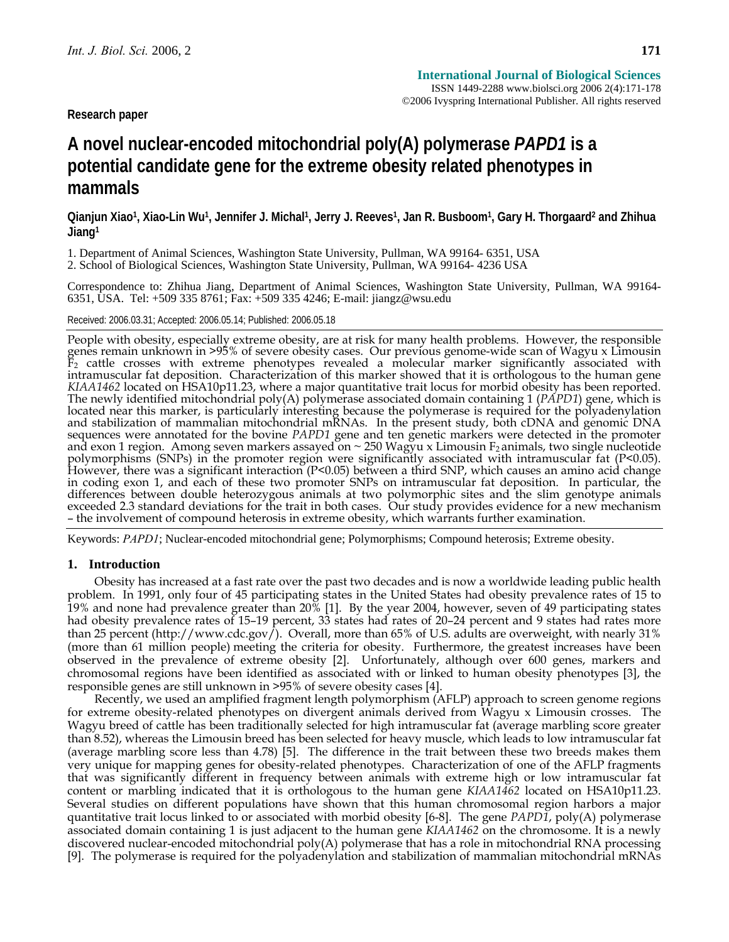**Research paper** 

# **A novel nuclear-encoded mitochondrial poly(A) polymerase** *PAPD1* **is a potential candidate gene for the extreme obesity related phenotypes in mammals**

**Qianjun Xiao1, Xiao-Lin Wu1, Jennifer J. Michal1, Jerry J. Reeves1, Jan R. Busboom1, Gary H. Thorgaard2 and Zhihua Jiang1** 

1. Department of Animal Sciences, Washington State University, Pullman, WA 99164- 6351, USA

2. School of Biological Sciences, Washington State University, Pullman, WA 99164- 4236 USA

Correspondence to: Zhihua Jiang, Department of Animal Sciences, Washington State University, Pullman, WA 99164- 6351, USA. Tel: +509 335 8761; Fax: +509 335 4246; E-mail: jiangz@wsu.edu

Received: 2006.03.31; Accepted: 2006.05.14; Published: 2006.05.18

People with obesity, especially extreme obesity, are at risk for many health problems. However, the responsible<br>genes remain unknown in >95% of severe obesity cases. Our previous genome-wide scan of Wagyu x Limousin  $\bar{F}_2$  cattle crosses with extreme phenotypes revealed a molecular marker significantly associated with intramuscular fat deposition. Characterization of this marker showed that it is orthologous to the human gene  $KIAA1462$  located on HSA10p11.23, where a major quantitative trait locus for morbid obesity has been reported.<br>The newly identified mitochondrial poly(A) polymerase associated domain containing 1 (*PAPD1*) gene, which is located near this marker, is particularly interesting because the polymerase is required for the polyadenylation and stabilization of mammalian mitochondrial mRNAs. In the present study, both cDNA and genomic DNA sequences were annotated for the bovine *PAPD1* gene and ten genetic markers were detected in the promoter and exon 1 region. Among seven markers assayed on  $\sim$  250 Wagyu x Limousin  $F_2$  animals, two single nucleotide polymorphisms (SNPs) in the promoter region were significantly associated with intramuscular fat (P<0.05). However, there was a significant interaction (P<0.05) between a third SNP, which causes an amino acid change in coding exon 1, and each of these two promoter SNPs on intramuscular fat deposition. In particular, the<br>differences between double heterozygous animals at two polymorphic sites and the slim genotype animals exceeded 2.3 standard deviations for the trait in both cases. Our study provides evidence for a new mechanism – the involvement of compound heterosis in extreme obesity, which warrants further examination.

Keywords: *PAPD1*; Nuclear-encoded mitochondrial gene; Polymorphisms; Compound heterosis; Extreme obesity.

#### **1. Introduction**

Obesity has increased at a fast rate over the past two decades and is now a worldwide leading public health problem. In 1991, only four of 45 participating states in the United States had obesity prevalence rates of 15 to 19% and none had prevalence greater than 20% [1]. By the year 2004, however, seven of 49 participating states had obesity prevalence rates of 15–19 percent, 33 states had rates of 20–24 percent and 9 states had rates more than 25 percent (http://www.cdc.gov/). Overall, more than 65% of U.S. adults are overweight, with nearly 31% (more than 61 million people) meeting the criteria for obesity. Furthermore, the greatest increases have been observed in the prevalence of extreme obesity [2]. Unfortunately, although over 600 genes, markers and chromosomal regions have been identified as associated with or linked to human obesity phenotypes [3], the responsible genes are still unknown in >95% of severe obesity cases [4].

Recently, we used an amplified fragment length polymorphism (AFLP) approach to screen genome regions for extreme obesity-related phenotypes on divergent animals derived from Wagyu x Limousin crosses. The Wagyu breed of cattle has been traditionally selected for high intramuscular fat (average marbling score greater than 8.52), whereas the Limousin breed has been selected for heavy muscle, which leads to low intramuscular fat (average marbling score less than 4.78) [5]. The difference in the trait between these two breeds makes them very unique for mapping genes for obesity-related phenotypes. Characterization of one of the AFLP fragments that was significantly different in frequency between animals with extreme high or low intramuscular fat content or marbling indicated that it is orthologous to the human gene *KIAA1462* located on HSA10p11.23. Several studies on different populations have shown that this human chromosomal region harbors a major quantitative trait locus linked to or associated with morbid obesity [6-8]. The gene *PAPD1*, poly(A) polymerase associated domain containing 1 is just adjacent to the human gene *KIAA1462* on the chromosome. It is a newly discovered nuclear-encoded mitochondrial poly(A) polymerase that has a role in mitochondrial RNA processing [9]. The polymerase is required for the polyadenylation and stabilization of mammalian mitochondrial mRNAs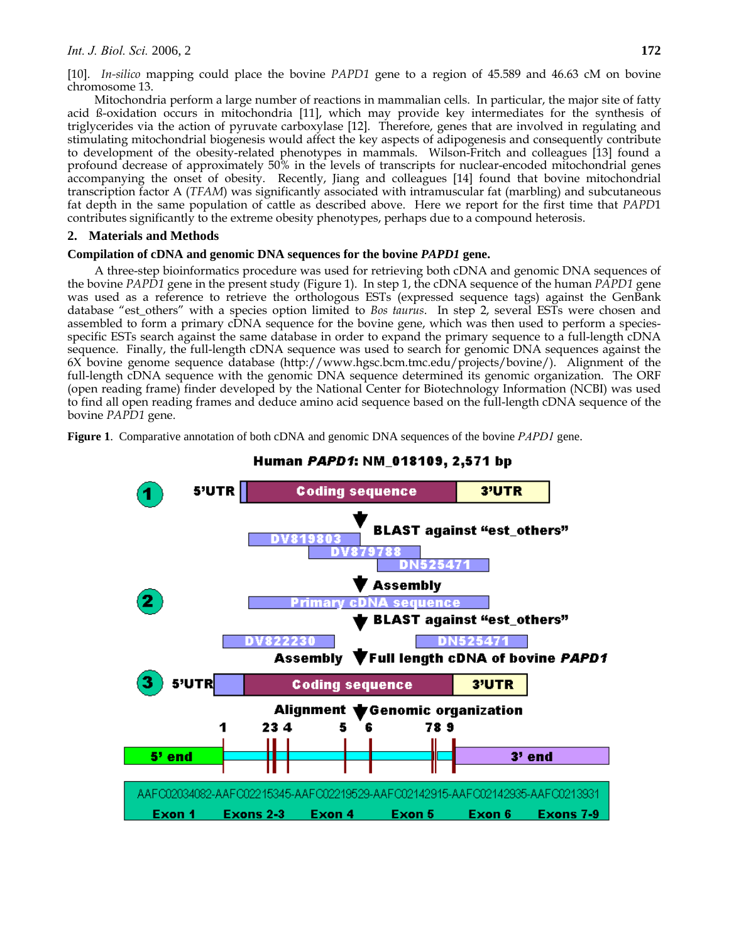[10]. *In-silico* mapping could place the bovine *PAPD1* gene to a region of 45.589 and 46.63 cM on bovine chromosome 13.

Mitochondria perform a large number of reactions in mammalian cells. In particular, the major site of fatty acid ß-oxidation occurs in mitochondria [11], which may provide key intermediates for the synthesis of triglycerides via the action of pyruvate carboxylase [12]. Therefore, genes that are involved in regulating and stimulating mitochondrial biogenesis would affect the key aspects of adipogenesis and consequently contribute to development of the obesity-related phenotypes in mammals.Wilson-Fritch and colleagues [13] found a profound decrease of approximately 50% in the levels of transcripts for nuclear-encoded mitochondrial genes accompanying the onset of obesity. Recently, Jiang and colleagues [14] found that bovine mitochondrial transcription factor A (*TFAM*) was significantly associated with intramuscular fat (marbling) and subcutaneous fat depth in the same population of cattle as described above. Here we report for the first time that *PAPD*1 contributes significantly to the extreme obesity phenotypes, perhaps due to a compound heterosis.

## **2. Materials and Methods**

### **Compilation of cDNA and genomic DNA sequences for the bovine** *PAPD1* **gene.**

A three-step bioinformatics procedure was used for retrieving both cDNA and genomic DNA sequences of the bovine *PAPD1* gene in the present study (Figure 1). In step 1, the cDNA sequence of the human *PAPD1* gene was used as a reference to retrieve the orthologous ESTs (expressed sequence tags) against the GenBank database "est\_others" with a species option limited to *Bos taurus*. In step 2, several ESTs were chosen and assembled to form a primary cDNA sequence for the bovine gene, which was then used to perform a speciesspecific ESTs search against the same database in order to expand the primary sequence to a full-length cDNA sequence. Finally, the full-length cDNA sequence was used to search for genomic DNA sequences against the 6X bovine genome sequence database (http://www.hgsc.bcm.tmc.edu/projects/bovine/). Alignment of the full-length cDNA sequence with the genomic DNA sequence determined its genomic organization. The ORF (open reading frame) finder developed by the National Center for Biotechnology Information (NCBI) was used to find all open reading frames and deduce amino acid sequence based on the full-length cDNA sequence of the bovine *PAPD1* gene.

**Figure 1**. Comparative annotation of both cDNA and genomic DNA sequences of the bovine *PAPD1* gene.



## Human *PAPD1*: NM\_018109, 2,571 bp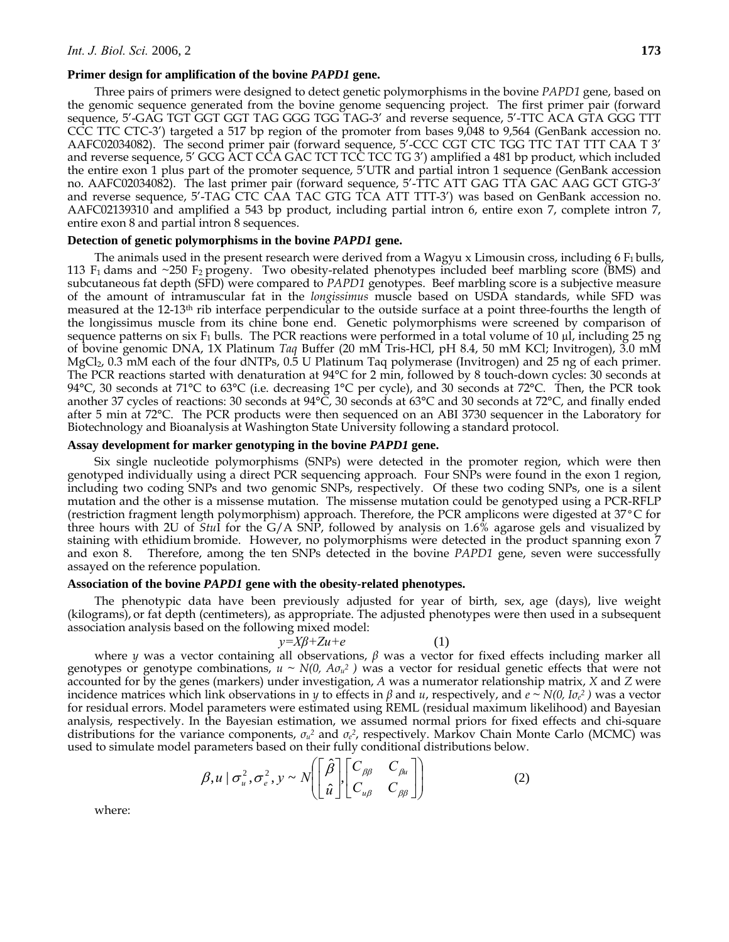Three pairs of primers were designed to detect genetic polymorphisms in the bovine *PAPD1* gene, based on the genomic sequence generated from the bovine genome sequencing project. The first primer pair (forward sequence, 5'-GAG TGT GGT GGT TAG GGG TGG TAG-3' and reverse sequence, 5'-TTC ACA GTA GGG TTT CCC TTC CTC-3') targeted a 517 bp region of the promoter from bases 9,048 to 9,564 (GenBank accession no. AAFC02034082). The second primer pair (forward sequence, 5'-CCC CGT CTC TGG TTC TAT TTT CAA T 3' and reverse sequence, 5' GCG ACT CCA GAC TCT TCC TCC TG 3') amplified a 481 bp product, which included the entire exon 1 plus part of the promoter sequence, 5'UTR and partial intron 1 sequence (GenBank accession no. AAFC02034082). The last primer pair (forward sequence, 5'-TTC ATT GAG TTA GAC AAG GCT GTG-3' and reverse sequence, 5'-TAG CTC CAA TAC GTG TCA ATT TTT-3') was based on GenBank accession no. AAFC02139310 and amplified a 543 bp product, including partial intron 6, entire exon 7, complete intron 7, entire exon 8 and partial intron 8 sequences.

#### **Detection of genetic polymorphisms in the bovine** *PAPD1* **gene.**

The animals used in the present research were derived from a Wagyu x Limousin cross, including  $6 F_1$  bulls, 113  $F_1$  dams and ~250  $F_2$  progeny. Two obesity-related phenotypes included beef marbling score (BMS) and subcutaneous fat depth (SFD) were compared to *PAPD1* genotypes. Beef marbling score is a subjective measure of the amount of intramuscular fat in the *longissimus* muscle based on USDA standards, while SFD was measured at the 12-13th rib interface perpendicular to the outside surface at a point three-fourths the length of the longissimus muscle from its chine bone end. Genetic polymorphisms were screened by comparison of sequence patterns on six  $F_1$  bulls. The PCR reactions were performed in a total volume of 10 µl, including 25 ng of bovine genomic DNA, 1X Platinum *Taq* Buffer (20 mM Tris-HCl, pH 8.4, 50 mM KCl; Invitrogen), 3.0 mM MgCl<sub>2</sub>, 0.3 mM each of the four dNTPs, 0.5 U Platinum Taq polymerase (Invitrogen) and 25 ng of each primer. The PCR reactions started with denaturation at 94°C for 2 min, followed by 8 touch-down cycles: 30 seconds at 94°C, 30 seconds at 71°C to 63°C (i.e. decreasing 1°C per cycle), and 30 seconds at 72°C. Then, the PCR took another 37 cycles of reactions: 30 seconds at 94°C, 30 seconds at 63°C and 30 seconds at 72°C, and finally ended after 5 min at 72°C. The PCR products were then sequenced on an ABI 3730 sequencer in the Laboratory for Biotechnology and Bioanalysis at Washington State University following a standard protocol.

#### **Assay development for marker genotyping in the bovine** *PAPD1* **gene.**

Six single nucleotide polymorphisms (SNPs) were detected in the promoter region, which were then genotyped individually using a direct PCR sequencing approach. Four SNPs were found in the exon 1 region, including two coding SNPs and two genomic SNPs, respectively. Of these two coding SNPs, one is a silent mutation and the other is a missense mutation. The missense mutation could be genotyped using a PCR-RFLP (restriction fragment length polymorphism) approach. Therefore, the PCR amplicons were digested at 37°C for three hours with 2U of *Stu*I for the G/A SNP, followed by analysis on 1.6% agarose gels and visualized by staining with ethidium bromide. However, no polymorphisms were detected in the product spanning exon 7 and exon 8. Therefore, among the ten SNPs detected in the bovine *PAPD1* gene, seven were successfully assayed on the reference population.

#### **Association of the bovine** *PAPD1* **gene with the obesity-related phenotypes.**

The phenotypic data have been previously adjusted for year of birth, sex, age (days), live weight (kilograms), or fat depth (centimeters), as appropriate. The adjusted phenotypes were then used in a subsequent association analysis based on the following mixed model:

$$
y = X\beta + Zu + e \tag{1}
$$

where *y* was a vector containing all observations,  $\beta$  was a vector for fixed effects including marker all genotypes or genotype combinations,  $u \sim N(0, A\sigma_u^2)$  was a vector for residual genetic effects that were not accounted for by the genes (markers) under investigation, *A* was a numerator relationship matrix, *X* and *Z* were incidence matrices which link observations in *y* to effects in *β* and *u*, respectively, and *e ~ N(0, Iσ<sup>e</sup> 2 )* was a vector for residual errors. Model parameters were estimated using REML (residual maximum likelihood) and Bayesian analysis, respectively. In the Bayesian estimation, we assumed normal priors for fixed effects and chi-square distributions for the variance components, *σu2* and *σ<sup>e</sup> <sup>2</sup>*, respectively. Markov Chain Monte Carlo (MCMC) was used to simulate model parameters based on their fully conditional distributions below.

$$
\beta, u \mid \sigma_u^2, \sigma_e^2, y \sim N \left[ \begin{bmatrix} \hat{\beta} \\ \hat{u} \end{bmatrix}, \begin{bmatrix} C_{\beta\beta} & C_{\beta u} \\ C_{u\beta} & C_{\beta \beta} \end{bmatrix} \right]
$$
 (2)

where: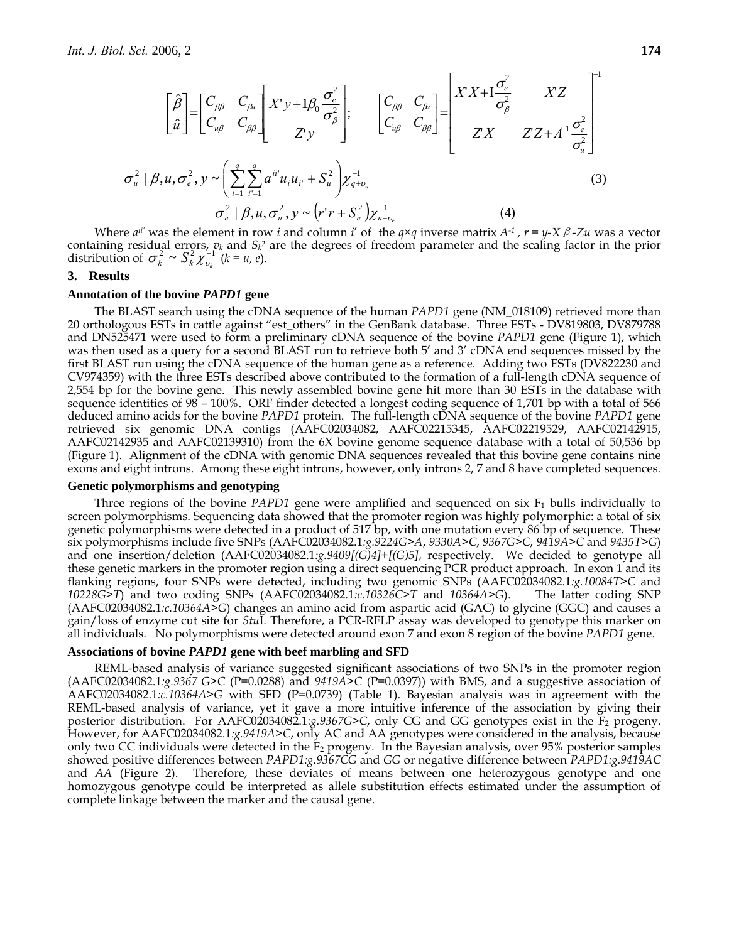$$
\begin{bmatrix}\n\hat{\beta} \\
\hat{u}\n\end{bmatrix} =\n\begin{bmatrix}\nC_{\beta\beta} & C_{\beta\mu} \\
C_{\mu\beta} & C_{\beta\beta}\n\end{bmatrix}\n\begin{bmatrix}\nX'y + 1\beta_0 \frac{\sigma_e^2}{\sigma_\beta^2} \\
Z'y\n\end{bmatrix};\n\begin{bmatrix}\nC_{\beta\beta} & C_{\beta\mu} \\
C_{\mu\beta} & C_{\beta\beta}\n\end{bmatrix} =\n\begin{bmatrix}\nXX + I \frac{\sigma_e^2}{\sigma_\beta^2} & XZ \\
ZX & ZZ + A^{-1} \frac{\sigma_e^2}{\sigma_\mu^2}\n\end{bmatrix}
$$
\n
$$
\sigma_u^2 \mid \beta, u, \sigma_e^2, y \sim\n\left(\sum_{i=1}^q \sum_{i=1}^q a^{ii'} u_i u_i + S_u^2\right) \chi_{q+v_u}^{-1}
$$
\n(3)

$$
\sigma_e^2 \mid \beta, u, \sigma_u^2, y \sim (r^r + S_e^2) \chi_{n+v_e}^{-1}
$$
 (4)

Where *aii'* was the element in row *i* and column *i*' of the *q×q* inverse matrix *A-1 , r = y-X*β*-Zu* was a vector containing residual errors,  $v_k$  and  $S_k^2$  are the degrees of freedom parameter and the scaling factor in the prior distribution of  $\sigma_k^2 \sim S_k^2 \chi_{v_k}^{-1}$  ( $k = u, e$ ).

#### **3. Results**

#### **Annotation of the bovine** *PAPD1* **gene**

The BLAST search using the cDNA sequence of the human *PAPD1* gene (NM\_018109) retrieved more than 20 orthologous ESTs in cattle against "est\_others" in the GenBank database. Three ESTs - DV819803, DV879788 and DN525471 were used to form a preliminary cDNA sequence of the bovine *PAPD1* gene (Figure 1), which was then used as a query for a second BLAST run to retrieve both 5' and 3' cDNA end sequences missed by the first BLAST run using the cDNA sequence of the human gene as a reference. Adding two ESTs (DV822230 and CV974359) with the three ESTs described above contributed to the formation of a full-length cDNA sequence of 2,554 bp for the bovine gene. This newly assembled bovine gene hit more than 30 ESTs in the database with sequence identities of 98 – 100%. ORF finder detected a longest coding sequence of 1,701 bp with a total of 566 deduced amino acids for the bovine *PAPD1* protein. The full-length cDNA sequence of the bovine *PAPD1* gene retrieved six genomic DNA contigs (AAFC02034082, AAFC02215345, AAFC02219529, AAFC02142915, AAFC02142935 and AAFC02139310) from the 6X bovine genome sequence database with a total of 50,536 bp (Figure 1). Alignment of the cDNA with genomic DNA sequences revealed that this bovine gene contains nine exons and eight introns. Among these eight introns, however, only introns 2, 7 and 8 have completed sequences.

#### **Genetic polymorphisms and genotyping**

Three regions of the bovine *PAPD1* gene were amplified and sequenced on six  $F_1$  bulls individually to screen polymorphisms. Sequencing data showed that the promoter region was highly polymorphic: a total of six genetic polymorphisms were detected in a product of 517 bp, with one mutation every 86 bp of sequence. These six polymorphisms include five SNPs (AAFC02034082.1*:g.9224G>A*, *9330A>C*, *9367G>C*, *9419A>C* and *9435T>G*) and one insertion/deletion (AAFC02034082.1*:g.9409[(G)4]*+*[(G)5]*, respectively. We decided to genotype all these genetic markers in the promoter region using a direct sequencing PCR product approach. In exon 1 and its flanking regions, four SNPs were detected, including two genomic SNPs (AAFC02034082.1*:g.10084T>C* and *10228G>T*) and two coding SNPs (AAFC02034082.1*:c.10326C>T* and *10364A>G*). The latter coding SNP (AAFC02034082.1*:c.10364A>G*) changes an amino acid from aspartic acid (GAC) to glycine (GGC) and causes a gain/loss of enzyme cut site for *Stu*I. Therefore, a PCR-RFLP assay was developed to genotype this marker on all individuals. No polymorphisms were detected around exon 7 and exon 8 region of the bovine *PAPD1* gene.

#### **Associations of bovine** *PAPD1* **gene with beef marbling and SFD**

REML-based analysis of variance suggested significant associations of two SNPs in the promoter region (AAFC02034082.1*:g.9367 G>C* (P=0.0288) and *9419A>C* (P=0.0397)) with BMS, and a suggestive association of AAFC02034082.1*:c.10364A>G* with SFD (P=0.0739) (Table 1). Bayesian analysis was in agreement with the REML-based analysis of variance, yet it gave a more intuitive inference of the association by giving their posterior distribution. For AAFC02034082.1*:g.9367G>C*, only CG and GG genotypes exist in the F<sub>2</sub> progeny. However, for AAFC02034082.1*:g.9419A>C*, only AC and AA genotypes were considered in the analysis, because only two CC individuals were detected in the  $F_2$  progeny. In the Bayesian analysis, over 95% posterior samples showed positive differences between *PAPD1:g.9367CG* and *GG* or negative difference between *PAPD1:g.9419AC* and *AA* (Figure 2). Therefore, these deviates of means between one heterozygous genotype and one homozygous genotype could be interpreted as allele substitution effects estimated under the assumption of complete linkage between the marker and the causal gene.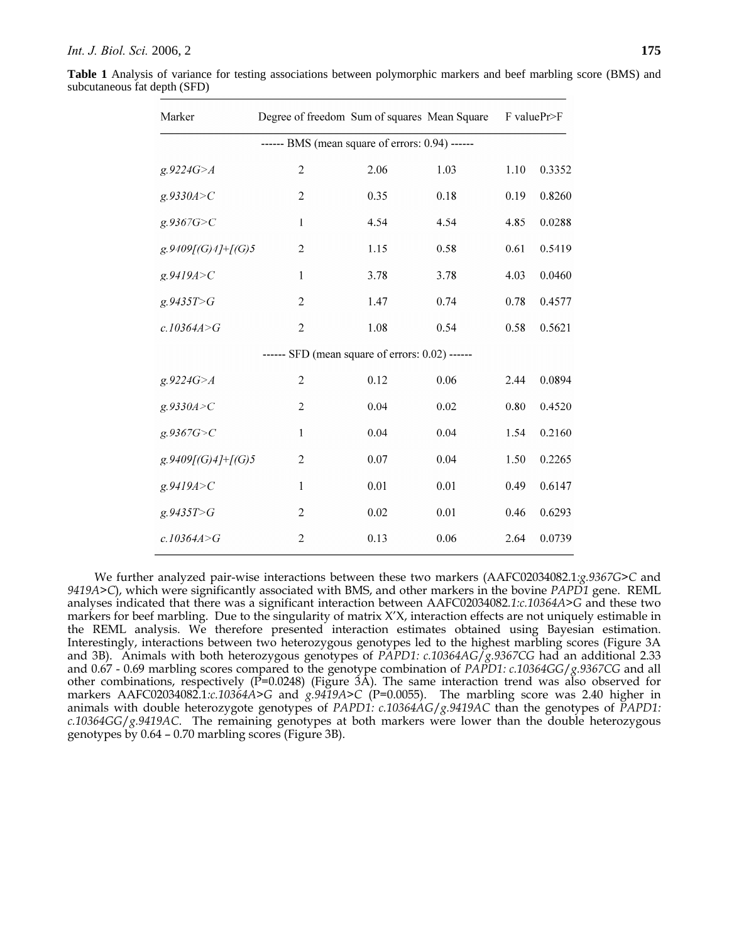**Table 1** Analysis of variance for testing associations between polymorphic markers and beef marbling score (BMS) and subcutaneous fat depth (SFD)

| Marker                                          | Degree of freedom Sum of squares Mean Square |      |      | F valuePr>F |        |
|-------------------------------------------------|----------------------------------------------|------|------|-------------|--------|
| ------ BMS (mean square of errors: 0.94) ------ |                                              |      |      |             |        |
| g.9224G > A                                     | $\overline{2}$                               | 2.06 | 1.03 | 1.10        | 0.3352 |
| g.9330A > C                                     | $\overline{2}$                               | 0.35 | 0.18 | 0.19        | 0.8260 |
| g.9367G > C                                     | $\mathbf{I}$                                 | 4.54 | 4.54 | 4.85        | 0.0288 |
| $g.9409[(G)4]+[(G)5]$                           | $\overline{c}$                               | 1.15 | 0.58 | 0.61        | 0.5419 |
| g.9419A > C                                     | $\mathbf{1}$                                 | 3.78 | 3.78 | 4.03        | 0.0460 |
| g.9435T>G                                       | $\overline{2}$                               | 1.47 | 0.74 | 0.78        | 0.4577 |
| c.10364A>G                                      | $\sqrt{2}$                                   | 1.08 | 0.54 | 0.58        | 0.5621 |
| ------ SFD (mean square of errors: 0.02) ------ |                                              |      |      |             |        |
| g.9224G > A                                     | $\overline{c}$                               | 0.12 | 0.06 | 2.44        | 0.0894 |
| g.9330A > C                                     | $\overline{2}$                               | 0.04 | 0.02 | 0.80        | 0.4520 |
| g.9367G > C                                     | $\mathbf{1}$                                 | 0.04 | 0.04 | 1.54        | 0.2160 |
| $g.9409[(G)4]+[(G)5]$                           | $\overline{2}$                               | 0.07 | 0.04 | 1.50        | 0.2265 |
| g.9419A > C                                     | 1                                            | 0.01 | 0.01 | 0.49        | 0.6147 |
| g.9435T>G                                       | $\mathfrak{2}$                               | 0.02 | 0.01 | 0.46        | 0.6293 |
| c.10364A > G                                    | $\overline{2}$                               | 0.13 | 0.06 | 2.64        | 0.0739 |

We further analyzed pair-wise interactions between these two markers (AAFC02034082.1*:g.9367G>C* and *9419A>C*), which were significantly associated with BMS, and other markers in the bovine *PAPD1* gene. REML analyses indicated that there was a significant interaction between AAFC02034082*.1:c.10364A>G* and these two markers for beef marbling. Due to the singularity of matrix X'X, interaction effects are not uniquely estimable in the REML analysis. We therefore presented interaction estimates obtained using Bayesian estimation. Interestingly, interactions between two heterozygous genotypes led to the highest marbling scores (Figure 3A and 3B). Animals with both heterozygous genotypes of *PAPD1: c.10364AG*/*g.9367CG* had an additional 2.33 and 0.67 - 0.69 marbling scores compared to the genotype combination of *PAPD1: c.10364GG*/*g.9367CG* and all other combinations, respectively  $(\overline{P}=0.0248)$  (Figure 3A). The same interaction trend was also observed for markers AAFC02034082.1*:c.10364A>G* and *g.9419A>C* (P=0.0055). The marbling score was 2.40 higher in animals with double heterozygote genotypes of *PAPD1: c.10364AG*/*g.9419AC* than the genotypes of *PAPD1: c.10364GG*/*g.9419AC*. The remaining genotypes at both markers were lower than the double heterozygous genotypes by 0.64 – 0.70 marbling scores (Figure 3B).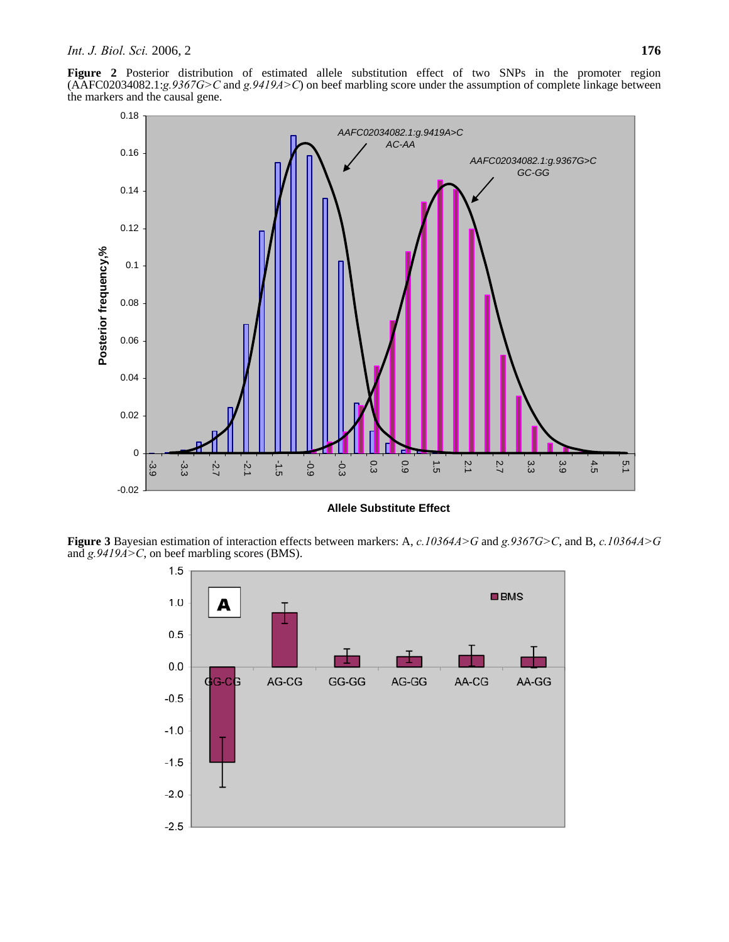**Figure 2** Posterior distribution of estimated allele substitution effect of two SNPs in the promoter region (AAFC02034082.1:*g.9367G>C* and *g.9419A>C*) on beef marbling score under the assumption of complete linkage between the markers and the causal gene.



**Allele Substitute Effect** 

**Figure 3** Bayesian estimation of interaction effects between markers: A, *c.10364A>G* and *g.9367G>C*, and B, *c.10364A>G* and *g.9419A>C*, on beef marbling scores (BMS).

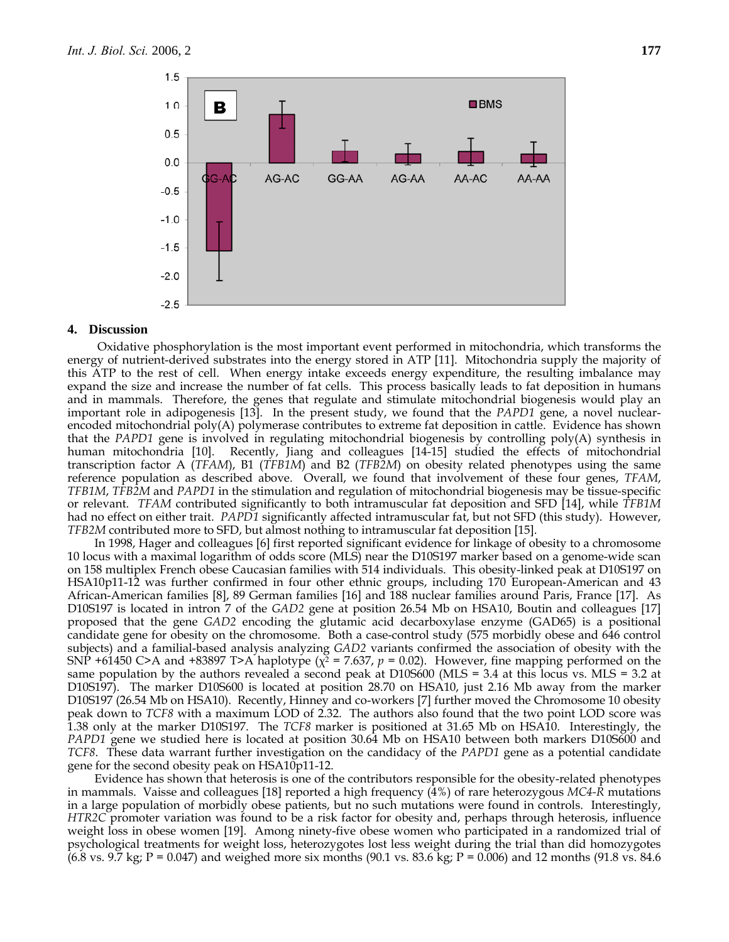

#### **4. Discussion**

 Oxidative phosphorylation is the most important event performed in mitochondria, which transforms the energy of nutrient-derived substrates into the energy stored in ATP [11]. Mitochondria supply the majority of this ATP to the rest of cell. When energy intake exceeds energy expenditure, the resulting imbalance may expand the size and increase the number of fat cells. This process basically leads to fat deposition in humans and in mammals. Therefore, the genes that regulate and stimulate mitochondrial biogenesis would play an important role in adipogenesis [13]. In the present study, we found that the *PAPD1* gene, a novel nuclearencoded mitochondrial poly(A) polymerase contributes to extreme fat deposition in cattle. Evidence has shown that the *PAPD1* gene is involved in regulating mitochondrial biogenesis by controlling poly(A) synthesis in human mitochondria [10]. Recently, Jiang and colleagues [14-15] studied the effects of mitochondrial transcription factor A (*TFAM*), B1 (*TFB1M*) and B2 (*TFB2M*) on obesity related phenotypes using the same reference population as described above. Overall, we found that involvement of these four genes, *TFAM*, *TFB1M*, *TFB2M* and *PAPD1* in the stimulation and regulation of mitochondrial biogenesis may be tissue-specific or relevant. *TFAM* contributed significantly to both intramuscular fat deposition and SFD [14], while *TFB1M* had no effect on either trait. *PAPD1* significantly affected intramuscular fat, but not SFD (this study). However, *TFB2M* contributed more to SFD, but almost nothing to intramuscular fat deposition [15].

In 1998, Hager and colleagues [6] first reported significant evidence for linkage of obesity to a chromosome 10 locus with a maximal logarithm of odds score (MLS) near the D10S197 marker based on a genome-wide scan on 158 multiplex French obese Caucasian families with 514 individuals. This obesity-linked peak at D10S197 on HSA10p11-12 was further confirmed in four other ethnic groups, including 170 European-American and 43 African-American families [8], 89 German families [16] and 188 nuclear families around Paris, France [17]. As D10S197 is located in intron 7 of the *GAD2* gene at position 26.54 Mb on HSA10, Boutin and colleagues [17] proposed that the gene *GAD2* encoding the glutamic acid decarboxylase enzyme (GAD65) is a positional candidate gene for obesity on the chromosome. Both a case-control study (575 morbidly obese and 646 control subjects) and a familial-based analysis analyzing *GAD2* variants confirmed the association of obesity with the SNP +61450 C>A and +83897 T>A haplotype ( $\chi^2$  = 7.637,  $p$  = 0.02). However, fine mapping performed on the same population by the authors revealed a second peak at D10S600 (MLS = 3.4 at this locus vs. MLS = 3.2 at D10S197). The marker D10S600 is located at position 28.70 on HSA10, just 2.16 Mb away from the marker D10S197 (26.54 Mb on HSA10). Recently, Hinney and co-workers [7] further moved the Chromosome 10 obesity peak down to *TCF8* with a maximum LOD of 2.32. The authors also found that the two point LOD score was 1.38 only at the marker D10S197. The *TCF8* marker is positioned at 31.65 Mb on HSA10. Interestingly, the *PAPD1* gene we studied here is located at position 30.64 Mb on HSA10 between both markers D10S600 and *TCF8*. These data warrant further investigation on the candidacy of the *PAPD1* gene as a potential candidate gene for the second obesity peak on HSA10p11-12.

Evidence has shown that heterosis is one of the contributors responsible for the obesity-related phenotypes in mammals. Vaisse and colleagues [18] reported a high frequency (4%) of rare heterozygous *MC4-R* mutations in a large population of morbidly obese patients, but no such mutations were found in controls. Interestingly, *HTR2C* promoter variation was found to be a risk factor for obesity and, perhaps through heterosis, influence weight loss in obese women [19]. Among ninety-five obese women who participated in a randomized trial of psychological treatments for weight loss, heterozygotes lost less weight during the trial than did homozygotes  $(6.8 \text{ vs. } 9.7 \text{ kg})$ ; P = 0.047) and weighed more six months (90.1 vs. 83.6 kg; P = 0.006) and 12 months (91.8 vs. 84.6